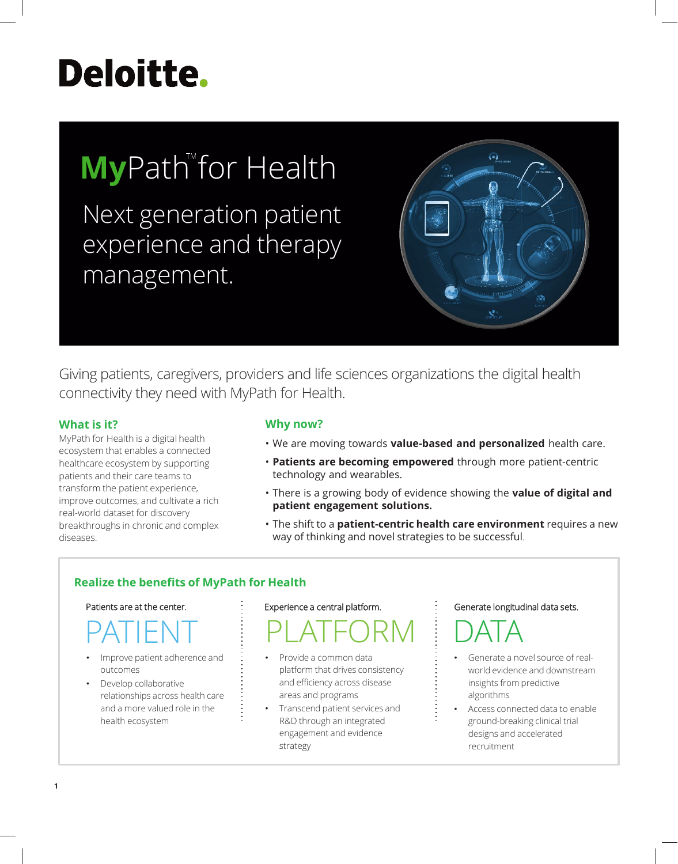# **Deloitte.**

## **My**Path for Health

Next generation patient experience and therapy management.



Giving patients, caregivers, providers and life sciences organizations the digital health connectivity they need with MyPath for Health.

#### **What is it?**

MyPath for Health is a digital health ecosystem that enables a connected healthcare ecosystem by supporting patients and their care teams to transform the patient experience, improve outcomes, and cultivate a rich real-world dataset for discovery breakthroughs in chronic and complex diseases.

#### **Why now?**

- We are moving towards **value-based and personalized** health care.
- **Patients are becoming empowered** through more patient-centric technology and wearables.
- There is a growing body of evidence showing the **value of digital and patient engagement solutions.**
- The shift to a **patient-centric health care environment** requires a new way of thinking and novel strategies to be successful.

#### **Realize the benefits of MyPath for Health**

#### Patients are at the center.

## PATIENT

- Improve patient adherence and outcomes
- Develop collaborative relationships across health care and a more valued role in the health ecosystem

#### Experience a central platform.

### PLATFORM DATA

- Provide a common data platform that drives consistency and efficiency across disease areas and programs
- Transcend patient services and R&D through an integrated engagement and evidence strategy

#### Generate longitudinal data sets.



- Generate a novel source of realworld evidence and downstream insights from predictive algorithms
- Access connected data to enable ground-breaking clinical trial designs and accelerated recruitment